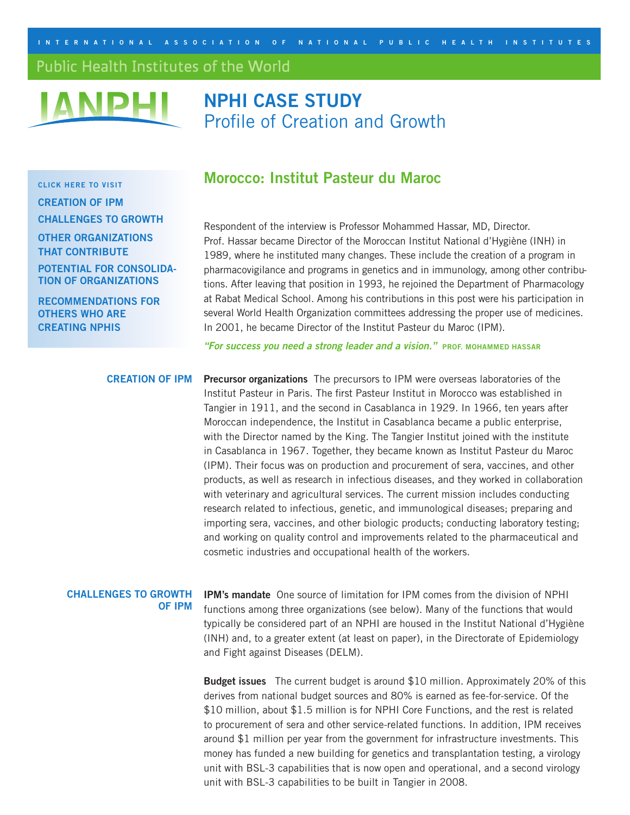<span id="page-0-0"></span>INTERNATIONAL ASSOCIATION OF NATIONAL PUBLIC HEALTH INSTITUTES

# Public Health Institutes of the World



# **NPHI CASE STUDY** Profile of Creation and Growth

**CLICK HERE TO VISIT**

**[CREATION OF IPM](#page-0-0) [CHALLENGES TO GROWTH](#page-0-0)**

**[OTHER ORGANIZATIONS](#page-1-0)  THAT CONTRIBUTE** 

**[POTENTIAL FOR CONSOLIDA-](#page-2-0)TION OF ORGANIZATIONS** 

**[RECOMMENDATIONS FOR](#page-2-0)  OTHERS WHO ARE CREATING NPHIS**

# **Morocco: Institut Pasteur du Maroc**

Respondent of the interview is Professor Mohammed Hassar, MD, Director. Prof. Hassar became Director of the Moroccan Institut National d'Hygiène (INH) in 1989, where he instituted many changes. These include the creation of a program in pharmacovigilance and programs in genetics and in immunology, among other contributions. After leaving that position in 1993, he rejoined the Department of Pharmacology at Rabat Medical School. Among his contributions in this post were his participation in several World Health Organization committees addressing the proper use of medicines. In 2001, he became Director of the Institut Pasteur du Maroc (IPM).

**"For success you need a strong leader and a vision." PROF. MOHAMMED HASSAR**

**Precursor organizations** The precursors to IPM were overseas laboratories of the Institut Pasteur in Paris. The first Pasteur Institut in Morocco was established in Tangier in 1911, and the second in Casablanca in 1929. In 1966, ten years after Moroccan independence, the Institut in Casablanca became a public enterprise, with the Director named by the King. The Tangier Institut joined with the institute in Casablanca in 1967. Together, they became known as Institut Pasteur du Maroc (IPM). Their focus was on production and procurement of sera, vaccines, and other products, as well as research in infectious diseases, and they worked in collaboration with veterinary and agricultural services. The current mission includes conducting research related to infectious, genetic, and immunological diseases; preparing and importing sera, vaccines, and other biologic products; conducting laboratory testing; and working on quality control and improvements related to the pharmaceutical and cosmetic industries and occupational health of the workers. **CREATION OF IPM** 

#### **CHALLENGES TO GROWTH OF IPM**

**IPM's mandate** One source of limitation for IPM comes from the division of NPHI functions among three organizations (see below). Many of the functions that would typically be considered part of an NPHI are housed in the Institut National d'Hygiène (INH) and, to a greater extent (at least on paper), in the Directorate of Epidemiology and Fight against Diseases (DELM).

**Budget issues** The current budget is around \$10 million. Approximately 20% of this derives from national budget sources and 80% is earned as fee-for-service. Of the \$10 million, about \$1.5 million is for NPHI Core Functions, and the rest is related to procurement of sera and other service-related functions. In addition, IPM receives around \$1 million per year from the government for infrastructure investments. This money has funded a new building for genetics and transplantation testing, a virology unit with BSL-3 capabilities that is now open and operational, and a second virology unit with BSL-3 capabilities to be built in Tangier in 2008.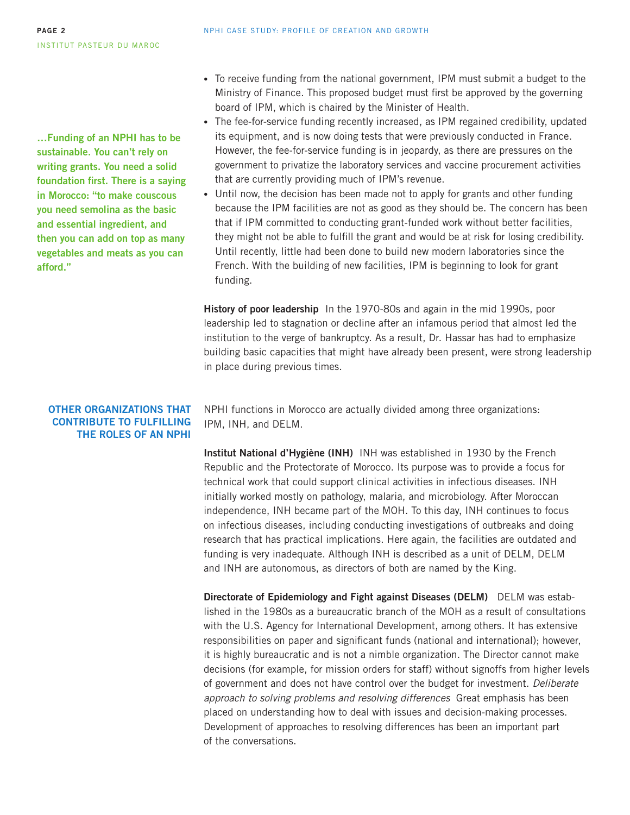<span id="page-1-0"></span>**…Funding of an NPHI has to be sustainable. You can't rely on writing grants. You need a solid foundation first. There is a saying in Morocco: "to make couscous you need semolina as the basic and essential ingredient, and then you can add on top as many vegetables and meats as you can afford."**

### **OTHER ORGANIZATIONS THAT CONTRIBUTE TO FULFILLING THE ROLES OF AN NPHI**

- To receive funding from the national government, IPM must submit a budget to the Ministry of Finance. This proposed budget must first be approved by the governing board of IPM, which is chaired by the Minister of Health.
- The fee-for-service funding recently increased, as IPM regained credibility, updated its equipment, and is now doing tests that were previously conducted in France. However, the fee-for-service funding is in jeopardy, as there are pressures on the government to privatize the laboratory services and vaccine procurement activities that are currently providing much of IPM's revenue.
- Until now, the decision has been made not to apply for grants and other funding because the IPM facilities are not as good as they should be. The concern has been that if IPM committed to conducting grant-funded work without better facilities, they might not be able to fulfill the grant and would be at risk for losing credibility. Until recently, little had been done to build new modern laboratories since the French. With the building of new facilities, IPM is beginning to look for grant funding.

**History of poor leadership** In the 1970-80s and again in the mid 1990s, poor leadership led to stagnation or decline after an infamous period that almost led the institution to the verge of bankruptcy. As a result, Dr. Hassar has had to emphasize building basic capacities that might have already been present, were strong leadership in place during previous times.

NPHI functions in Morocco are actually divided among three organizations: IPM, INH, and DELM.

**Institut National d'Hygiène (INH)** INH was established in 1930 by the French Republic and the Protectorate of Morocco. Its purpose was to provide a focus for technical work that could support clinical activities in infectious diseases. INH initially worked mostly on pathology, malaria, and microbiology. After Moroccan independence, INH became part of the MOH. To this day, INH continues to focus on infectious diseases, including conducting investigations of outbreaks and doing research that has practical implications. Here again, the facilities are outdated and funding is very inadequate. Although INH is described as a unit of DELM, DELM and INH are autonomous, as directors of both are named by the King.

**Directorate of Epidemiology and Fight against Diseases (DELM)** DELM was established in the 1980s as a bureaucratic branch of the MOH as a result of consultations with the U.S. Agency for International Development, among others. It has extensive responsibilities on paper and significant funds (national and international); however, it is highly bureaucratic and is not a nimble organization. The Director cannot make decisions (for example, for mission orders for staff) without signoffs from higher levels of government and does not have control over the budget for investment. Deliberate approach to solving problems and resolving differences Great emphasis has been placed on understanding how to deal with issues and decision-making processes. Development of approaches to resolving differences has been an important part of the conversations.